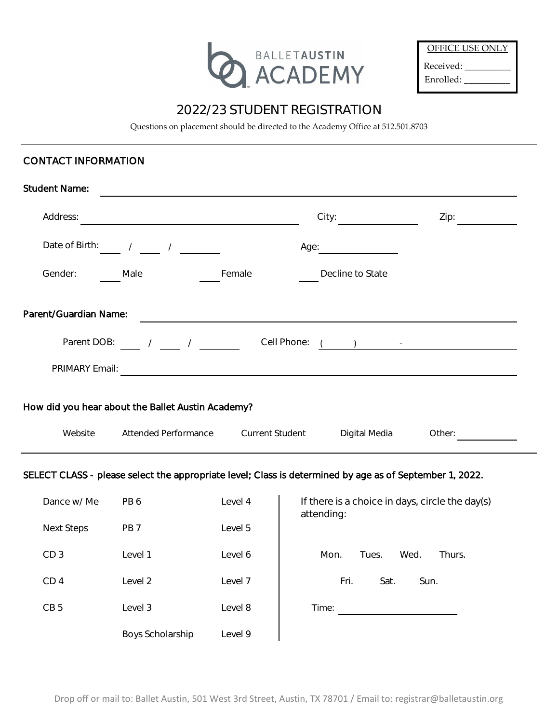

| OFFICE USE ONLY |
|-----------------|
| Received:       |
| Enrolled:       |

# 2022/23 STUDENT REGISTRATION

Questions on placement should be directed to the Academy Office at 512.501.8703

## CONTACT INFORMATION

| <b>Student Name:</b>                              |                                                                                                                                                                                                                                                                                                                     |                        |                           |        |  |  |
|---------------------------------------------------|---------------------------------------------------------------------------------------------------------------------------------------------------------------------------------------------------------------------------------------------------------------------------------------------------------------------|------------------------|---------------------------|--------|--|--|
| Address:                                          |                                                                                                                                                                                                                                                                                                                     |                        | City:                     | Zip:   |  |  |
| Date of Birth:                                    | $\sqrt{2}$<br>$\frac{1}{2}$                                                                                                                                                                                                                                                                                         | Age:                   |                           |        |  |  |
| Gender:                                           | Male                                                                                                                                                                                                                                                                                                                | Female                 | Decline to State          |        |  |  |
| Parent/Guardian Name:                             |                                                                                                                                                                                                                                                                                                                     |                        |                           |        |  |  |
| Parent DOB:                                       | $\frac{1}{2}$ $\frac{1}{2}$ $\frac{1}{2}$ $\frac{1}{2}$ $\frac{1}{2}$ $\frac{1}{2}$ $\frac{1}{2}$ $\frac{1}{2}$ $\frac{1}{2}$ $\frac{1}{2}$ $\frac{1}{2}$ $\frac{1}{2}$ $\frac{1}{2}$ $\frac{1}{2}$ $\frac{1}{2}$ $\frac{1}{2}$ $\frac{1}{2}$ $\frac{1}{2}$ $\frac{1}{2}$ $\frac{1}{2}$ $\frac{1}{2}$ $\frac{1}{2}$ | Cell Phone:            | $\mathbf{1}$ $\mathbf{1}$ |        |  |  |
| PRIMARY Email:                                    |                                                                                                                                                                                                                                                                                                                     |                        |                           |        |  |  |
| How did you hear about the Ballet Austin Academy? |                                                                                                                                                                                                                                                                                                                     |                        |                           |        |  |  |
| Website                                           | <b>Attended Performance</b>                                                                                                                                                                                                                                                                                         | <b>Current Student</b> | Digital Media             | Other: |  |  |

## SELECT CLASS - please select the appropriate level; Class is determined by age as of September 1, 2022.

| Dance w/ Me       | PB6              | Level 4 | If there is a choice in days, circle the day(s)<br>attending: |  |
|-------------------|------------------|---------|---------------------------------------------------------------|--|
| <b>Next Steps</b> | PB <sub>7</sub>  | Level 5 |                                                               |  |
| CD <sub>3</sub>   | Level 1          | Level 6 | Mon.<br>Tues.<br>Wed.<br>Thurs.                               |  |
| CD <sub>4</sub>   | Level 2          | Level 7 | Fri.<br>Sat.<br>Sun.                                          |  |
| CB <sub>5</sub>   | Level 3          | Level 8 | Time:                                                         |  |
|                   | Boys Scholarship | Level 9 |                                                               |  |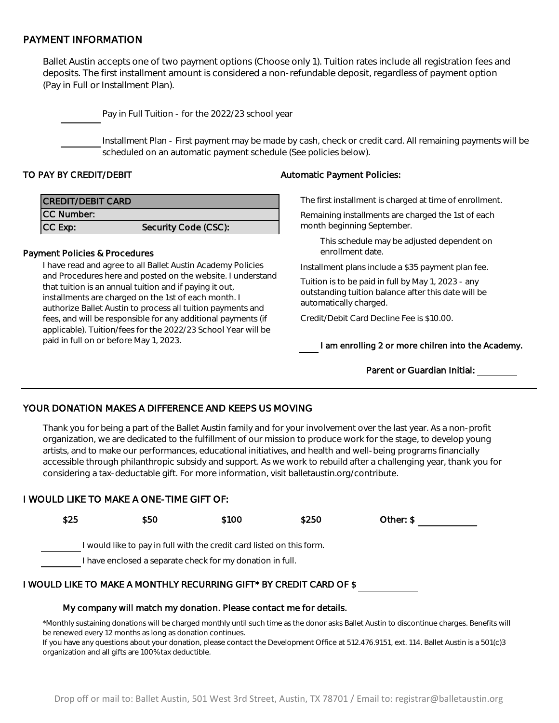## PAYMENT INFORMATION

Ballet Austin accepts one of two payment options (Choose only 1). Tuition rates include all registration fees and deposits. The first installment amount is considered a non-refundable deposit, regardless of payment option (Pay in Full or Installment Plan).

Pay in Full Tuition - for the 2022/23 school year

Installment Plan - First payment may be made by cash, check or credit card. All remaining payments will be scheduled on an automatic payment schedule (See policies below).

| <b>CREDIT/DEBIT CARD</b> |                      |
|--------------------------|----------------------|
| CC Number:               |                      |
| CC Exp:                  | Security Code (CSC): |

#### Payment Policies & Procedures

I have read and agree to all Ballet Austin Academy Policies and Procedures here and posted on the website. I understand that tuition is an annual tuition and if paying it out, installments are charged on the 1st of each month. I authorize Ballet Austin to process all tuition payments and fees, and will be responsible for any additional payments (if applicable). Tuition/fees for the 2022/23 School Year will be paid in full on or before May 1, 2023.

#### TO PAY BY CREDIT/DEBIT Automatic Payment Policies:

The first installment is charged at time of enrollment.

Remaining installments are charged the 1st of each month beginning September.

This schedule may be adjusted dependent on enrollment date.

Installment plans include a \$35 payment plan fee.

Tuition is to be paid in full by May 1, 2023 - any outstanding tuition balance after this date will be automatically charged.

Credit/Debit Card Decline Fee is \$10.00.

I am enrolling 2 or more chilren into the Academy.

#### Parent or Guardian Initial:

## YOUR DONATION MAKES A DIFFERENCE AND KEEPS US MOVING

Thank you for being a part of the Ballet Austin family and for your involvement over the last year. As a non-profit organization, we are dedicated to the fulfillment of our mission to produce work for the stage, to develop young artists, and to make our performances, educational initiatives, and health and well-being programs financially accessible through philanthropic subsidy and support. As we work to rebuild after a challenging year, thank you for considering a tax-deductable gift. For more information, visit balletaustin.org/contribute.

## I WOULD LIKE TO MAKE A ONE-TIME GIFT OF:



# My company will match my donation. Please contact me for details.

\*Monthly sustaining donations will be charged monthly until such time as the donor asks Ballet Austin to discontinue charges. Benefits will be renewed every 12 months as long as donation continues.

If you have any questions about your donation, please contact the Development Office at 512.476.9151, ext. 114. Ballet Austin is a 501(c)3 organization and all gifts are 100% tax deductible.